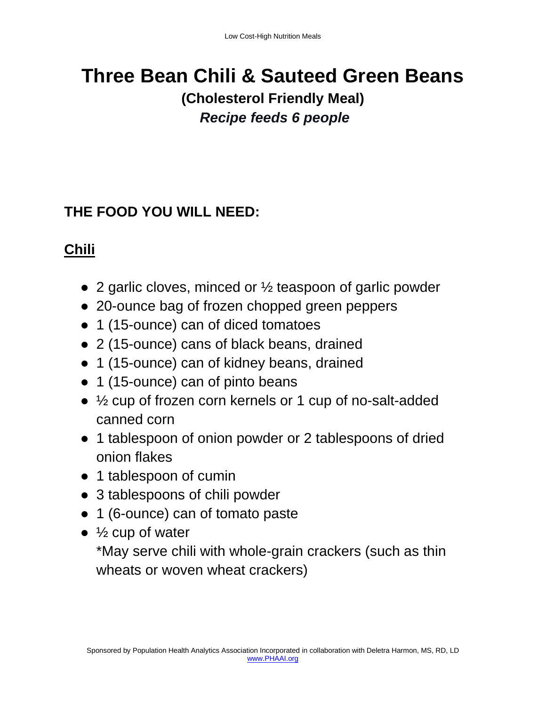### **Three Bean Chili & Sauteed Green Beans**

### **(Cholesterol Friendly Meal)** *Recipe feeds 6 people*

### **THE FOOD YOU WILL NEED:**

### **Chili**

- 2 garlic cloves, minced or  $\frac{1}{2}$  teaspoon of garlic powder
- 20-ounce bag of frozen chopped green peppers
- 1 (15-ounce) can of diced tomatoes
- 2 (15-ounce) cans of black beans, drained
- 1 (15-ounce) can of kidney beans, drained
- 1 (15-ounce) can of pinto beans
- ½ cup of frozen corn kernels or 1 cup of no-salt-added canned corn
- 1 tablespoon of onion powder or 2 tablespoons of dried onion flakes
- 1 tablespoon of cumin
- 3 tablespoons of chili powder
- 1 (6-ounce) can of tomato paste
- $\bullet$   $\frac{1}{2}$  cup of water

\*May serve chili with whole-grain crackers (such as thin wheats or woven wheat crackers)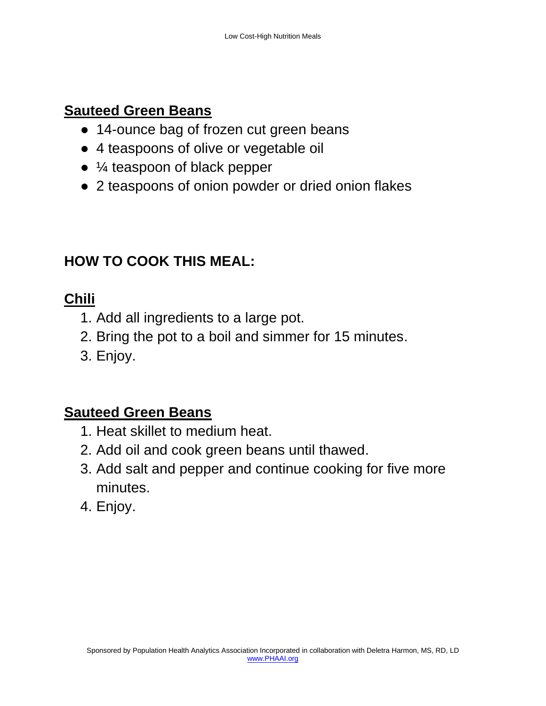### **Sauteed Green Beans**

- 14-ounce bag of frozen cut green beans
- 4 teaspoons of olive or vegetable oil
- $\bullet$  ¼ teaspoon of black pepper
- 2 teaspoons of onion powder or dried onion flakes

### **HOW TO COOK THIS MEAL:**

### **Chili**

- 1. Add all ingredients to a large pot.
- 2. Bring the pot to a boil and simmer for 15 minutes.
- 3. Enjoy.

### **Sauteed Green Beans**

- 1. Heat skillet to medium heat.
- 2. Add oil and cook green beans until thawed.
- 3. Add salt and pepper and continue cooking for five more minutes.
- 4. Enjoy.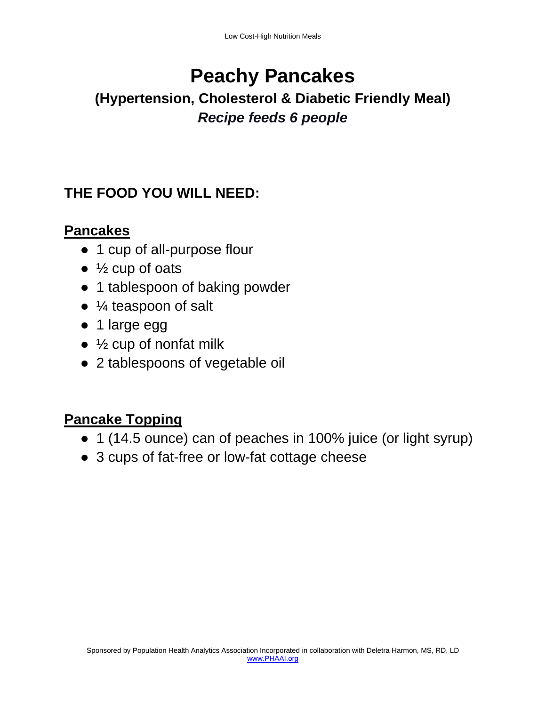## **Peachy Pancakes**

### **(Hypertension, Cholesterol & Diabetic Friendly Meal)** *Recipe feeds 6 people*

### **THE FOOD YOU WILL NEED:**

### **Pancakes**

- 1 cup of all-purpose flour
- $\bullet$  % cup of oats
- 1 tablespoon of baking powder
- ¼ teaspoon of salt
- 1 large egg
- $\bullet$   $\frac{1}{2}$  cup of nonfat milk
- 2 tablespoons of vegetable oil

### **Pancake Topping**

- 1 (14.5 ounce) can of peaches in 100% juice (or light syrup)
- 3 cups of fat-free or low-fat cottage cheese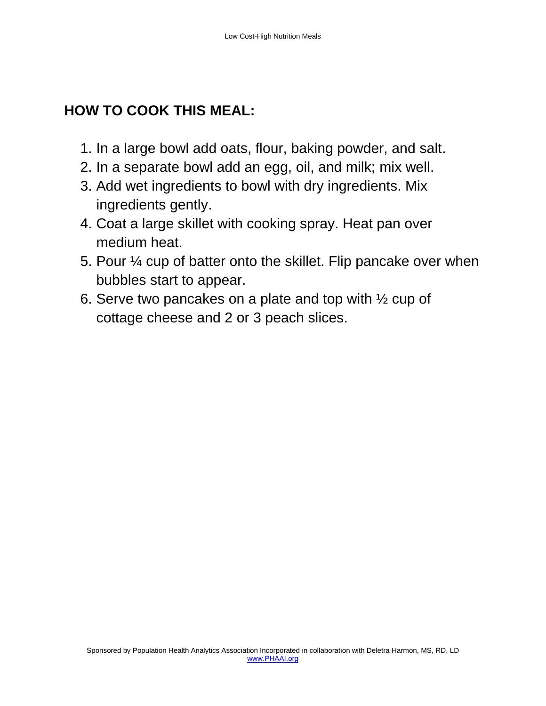### **HOW TO COOK THIS MEAL:**

- 1. In a large bowl add oats, flour, baking powder, and salt.
- 2. In a separate bowl add an egg, oil, and milk; mix well.
- 3. Add wet ingredients to bowl with dry ingredients. Mix ingredients gently.
- 4. Coat a large skillet with cooking spray. Heat pan over medium heat.
- 5. Pour ¼ cup of batter onto the skillet. Flip pancake over when bubbles start to appear.
- 6. Serve two pancakes on a plate and top with ½ cup of cottage cheese and 2 or 3 peach slices.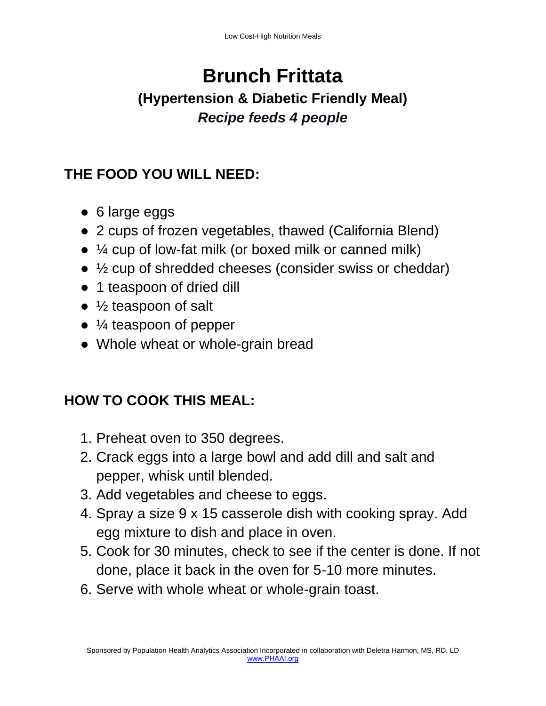### **Brunch Frittata (Hypertension & Diabetic Friendly Meal)**  *Recipe feeds 4 people*

### **THE FOOD YOU WILL NEED:**

- 6 large eggs
- 2 cups of frozen vegetables, thawed (California Blend)
- ¼ cup of low-fat milk (or boxed milk or canned milk)
- ½ cup of shredded cheeses (consider swiss or cheddar)
- 1 teaspoon of dried dill
- $\bullet$  ½ teaspoon of salt
- $\bullet$  ¼ teaspoon of pepper
- Whole wheat or whole-grain bread

### **HOW TO COOK THIS MEAL:**

- 1. Preheat oven to 350 degrees.
- 2. Crack eggs into a large bowl and add dill and salt and pepper, whisk until blended.
- 3. Add vegetables and cheese to eggs.
- 4. Spray a size 9 x 15 casserole dish with cooking spray. Add egg mixture to dish and place in oven.
- 5. Cook for 30 minutes, check to see if the center is done. If not done, place it back in the oven for 5-10 more minutes.
- 6. Serve with whole wheat or whole-grain toast.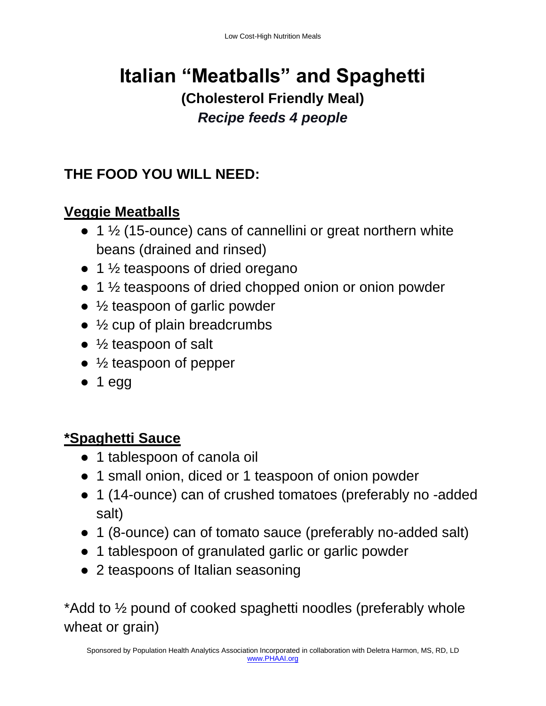### **Italian "Meatballs" and Spaghetti (Cholesterol Friendly Meal)** *Recipe feeds 4 people*

### **THE FOOD YOU WILL NEED:**

### **Veggie Meatballs**

- $\bullet$  1  $\frac{1}{2}$  (15-ounce) cans of cannellini or great northern white beans (drained and rinsed)
- $\bullet$  1  $\frac{1}{2}$  teaspoons of dried oregano
- 1 ½ teaspoons of dried chopped onion or onion powder
- $\bullet$  ½ teaspoon of garlic powder
- $\bullet$  ½ cup of plain breadcrumbs
- $\bullet$  ½ teaspoon of salt
- $\bullet$  ½ teaspoon of pepper
- $\bullet$  1 egg

### **\*Spaghetti Sauce**

- 1 tablespoon of canola oil
- 1 small onion, diced or 1 teaspoon of onion powder
- 1 (14-ounce) can of crushed tomatoes (preferably no -added salt)
- 1 (8-ounce) can of tomato sauce (preferably no-added salt)
- 1 tablespoon of granulated garlic or garlic powder
- 2 teaspoons of Italian seasoning

\*Add to ½ pound of cooked spaghetti noodles (preferably whole wheat or grain)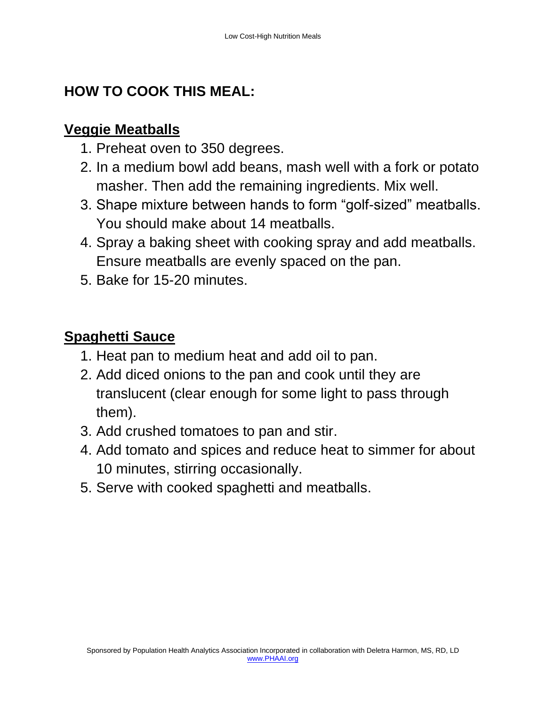### **HOW TO COOK THIS MEAL:**

#### **Veggie Meatballs**

- 1. Preheat oven to 350 degrees.
- 2. In a medium bowl add beans, mash well with a fork or potato masher. Then add the remaining ingredients. Mix well.
- 3. Shape mixture between hands to form "golf-sized" meatballs. You should make about 14 meatballs.
- 4. Spray a baking sheet with cooking spray and add meatballs. Ensure meatballs are evenly spaced on the pan.
- 5. Bake for 15-20 minutes.

### **Spaghetti Sauce**

- 1. Heat pan to medium heat and add oil to pan.
- 2. Add diced onions to the pan and cook until they are translucent (clear enough for some light to pass through them).
- 3. Add crushed tomatoes to pan and stir.
- 4. Add tomato and spices and reduce heat to simmer for about 10 minutes, stirring occasionally.
- 5. Serve with cooked spaghetti and meatballs.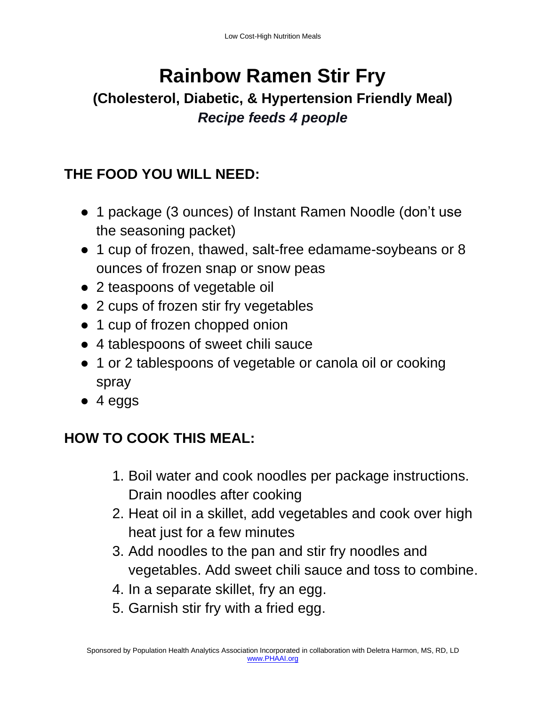# **Rainbow Ramen Stir Fry**

### **(Cholesterol, Diabetic, & Hypertension Friendly Meal)** *Recipe feeds 4 people*

### **THE FOOD YOU WILL NEED:**

- 1 package (3 ounces) of Instant Ramen Noodle (don't use the seasoning packet)
- 1 cup of frozen, thawed, salt-free edamame-soybeans or 8 ounces of frozen snap or snow peas
- 2 teaspoons of vegetable oil
- 2 cups of frozen stir fry vegetables
- 1 cup of frozen chopped onion
- 4 tablespoons of sweet chili sauce
- 1 or 2 tablespoons of vegetable or canola oil or cooking spray
- 4 eggs

### **HOW TO COOK THIS MEAL:**

- 1. Boil water and cook noodles per package instructions. Drain noodles after cooking
- 2. Heat oil in a skillet, add vegetables and cook over high heat just for a few minutes
- 3. Add noodles to the pan and stir fry noodles and vegetables. Add sweet chili sauce and toss to combine.
- 4. In a separate skillet, fry an egg.
- 5. Garnish stir fry with a fried egg.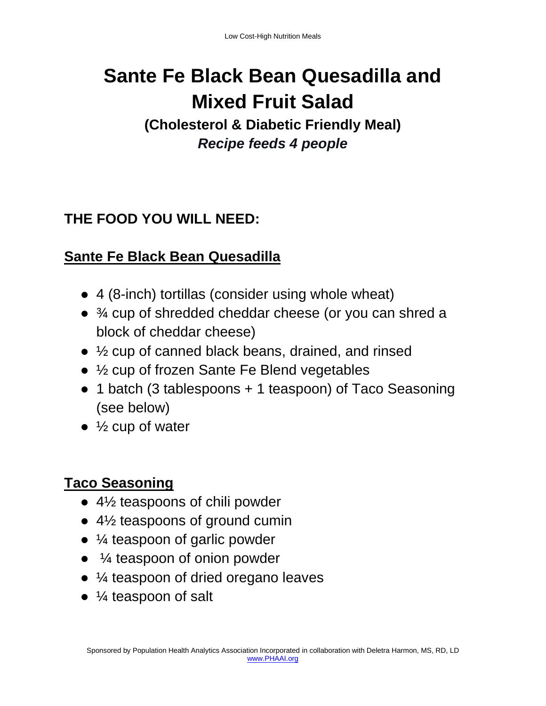# **Sante Fe Black Bean Quesadilla and Mixed Fruit Salad**

**(Cholesterol & Diabetic Friendly Meal)** *Recipe feeds 4 people*

### **THE FOOD YOU WILL NEED:**

### **Sante Fe Black Bean Quesadilla**

- 4 (8-inch) tortillas (consider using whole wheat)
- ¾ cup of shredded cheddar cheese (or you can shred a block of cheddar cheese)
- $\bullet$   $\frac{1}{2}$  cup of canned black beans, drained, and rinsed
- 1/2 cup of frozen Sante Fe Blend vegetables
- 1 batch (3 tablespoons + 1 teaspoon) of Taco Seasoning (see below)
- $\bullet$   $\frac{1}{2}$  cup of water

### **Taco Seasoning**

- $\bullet$  4½ teaspoons of chili powder
- $\bullet$  4% teaspoons of ground cumin
- $\bullet$  ¼ teaspoon of garlic powder
- $\bullet$   $\frac{1}{4}$  teaspoon of onion powder
- ¼ teaspoon of dried oregano leaves
- $\bullet$  ¼ teaspoon of salt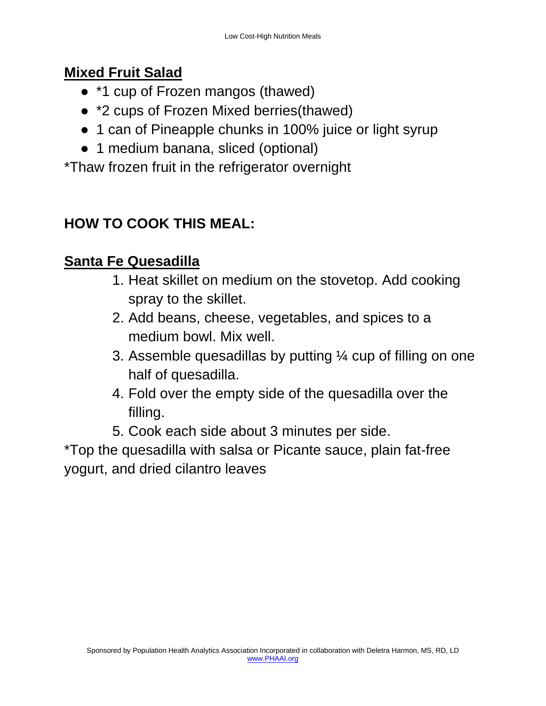### **Mixed Fruit Salad**

- \*1 cup of Frozen mangos (thawed)
- \*2 cups of Frozen Mixed berries(thawed)
- 1 can of Pineapple chunks in 100% juice or light syrup
- 1 medium banana, sliced (optional)

\*Thaw frozen fruit in the refrigerator overnight

### **HOW TO COOK THIS MEAL:**

### **Santa Fe Quesadilla**

- 1. Heat skillet on medium on the stovetop. Add cooking spray to the skillet.
- 2. Add beans, cheese, vegetables, and spices to a medium bowl. Mix well.
- 3. Assemble quesadillas by putting ¼ cup of filling on one half of quesadilla.
- 4. Fold over the empty side of the quesadilla over the filling.
- 5. Cook each side about 3 minutes per side.

\*Top the quesadilla with salsa or Picante sauce, plain fat-free yogurt, and dried cilantro leaves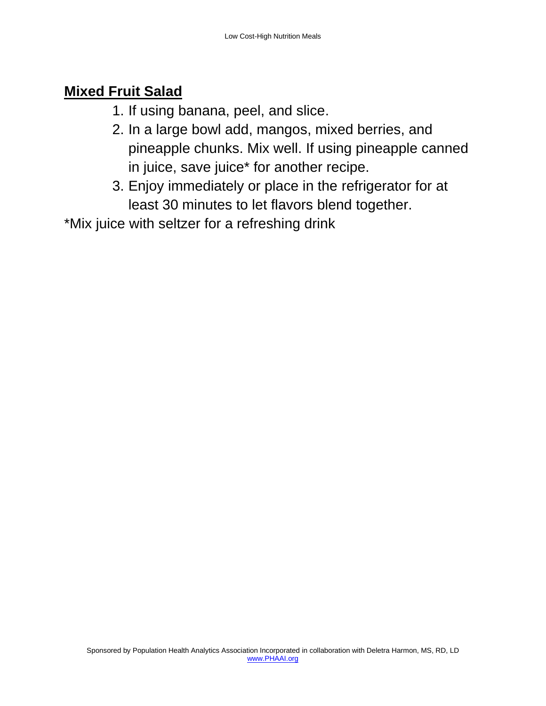#### **Mixed Fruit Salad**

- 1. If using banana, peel, and slice.
- 2. In a large bowl add, mangos, mixed berries, and pineapple chunks. Mix well. If using pineapple canned in juice, save juice\* for another recipe.
- 3. Enjoy immediately or place in the refrigerator for at least 30 minutes to let flavors blend together.

\*Mix juice with seltzer for a refreshing drink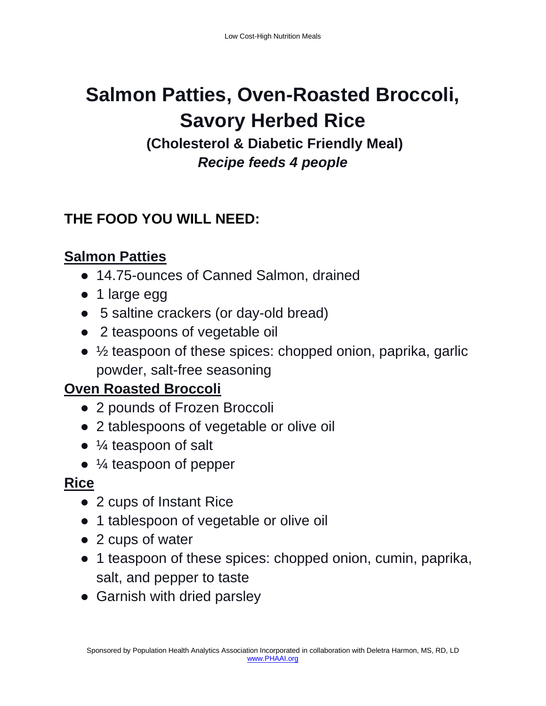# **Salmon Patties, Oven-Roasted Broccoli, Savory Herbed Rice**

**(Cholesterol & Diabetic Friendly Meal)**  *Recipe feeds 4 people*

### **THE FOOD YOU WILL NEED:**

### **Salmon Patties**

- 14.75-ounces of Canned Salmon, drained
- 1 large egg
- 5 saltine crackers (or day-old bread)
- 2 teaspoons of vegetable oil
- $\bullet$  ½ teaspoon of these spices: chopped onion, paprika, garlic powder, salt-free seasoning

### **Oven Roasted Broccoli**

- 2 pounds of Frozen Broccoli
- 2 tablespoons of vegetable or olive oil
- ¼ teaspoon of salt
- $\bullet$  ¼ teaspoon of pepper

### **Rice**

- 2 cups of Instant Rice
- 1 tablespoon of vegetable or olive oil
- 2 cups of water
- 1 teaspoon of these spices: chopped onion, cumin, paprika, salt, and pepper to taste
- Garnish with dried parsley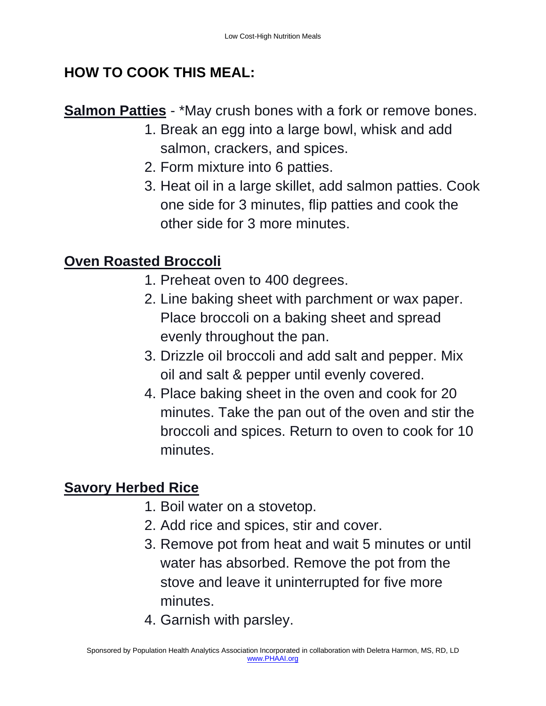### **HOW TO COOK THIS MEAL:**

**Salmon Patties** - \*May crush bones with a fork or remove bones.

- 1. Break an egg into a large bowl, whisk and add salmon, crackers, and spices.
- 2. Form mixture into 6 patties.
- 3. Heat oil in a large skillet, add salmon patties. Cook one side for 3 minutes, flip patties and cook the other side for 3 more minutes.

### **Oven Roasted Broccoli**

- 1. Preheat oven to 400 degrees.
- 2. Line baking sheet with parchment or wax paper. Place broccoli on a baking sheet and spread evenly throughout the pan.
- 3. Drizzle oil broccoli and add salt and pepper. Mix oil and salt & pepper until evenly covered.
- 4. Place baking sheet in the oven and cook for 20 minutes. Take the pan out of the oven and stir the broccoli and spices. Return to oven to cook for 10 minutes.

### **Savory Herbed Rice**

- 1. Boil water on a stovetop.
- 2. Add rice and spices, stir and cover.
- 3. Remove pot from heat and wait 5 minutes or until water has absorbed. Remove the pot from the stove and leave it uninterrupted for five more minutes.
- 4. Garnish with parsley.